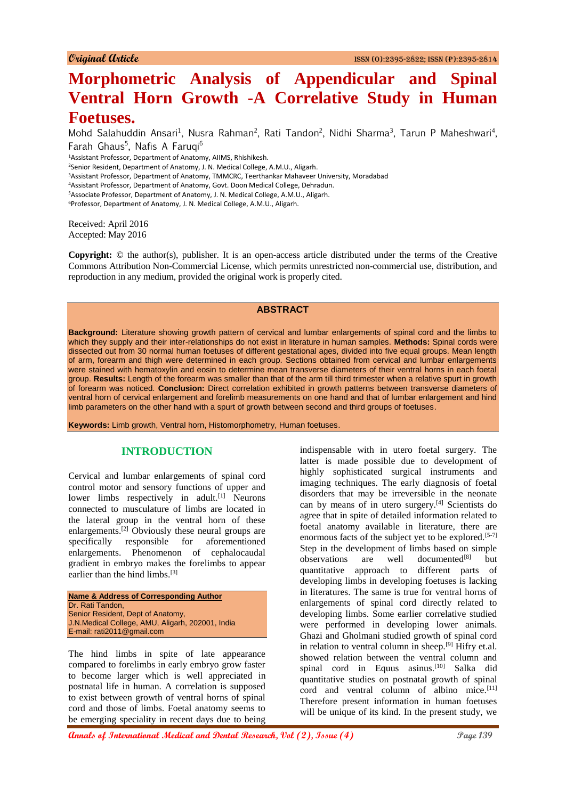# **Morphometric Analysis of Appendicular and Spinal Ventral Horn Growth -A Correlative Study in Human Foetuses.**

Mohd Salahuddin Ansari<sup>1</sup>, Nusra Rahman<sup>2</sup>, Rati Tandon<sup>2</sup>, Nidhi Sharma<sup>3</sup>, Tarun P Maheshwari<sup>4</sup>, Farah Ghaus<sup>5</sup>, Nafis A Faruqi<sup>6</sup> Assistant Professor, Department of Anatomy, AIIMS, Rhishikesh. Senior Resident, Department of Anatomy, J. N. Medical College, A.M.U., Aligarh. Assistant Professor, Department of Anatomy, TMMCRC, Teerthankar Mahaveer University, Moradabad Assistant Professor, Department of Anatomy, Govt. Doon Medical College, Dehradun. Associate Professor, Department of Anatomy, J. N. Medical College, A.M.U., Aligarh. Professor, Department of Anatomy, J. N. Medical College, A.M.U., Aligarh.

Received: April 2016 Accepted: May 2016

**Copyright:** © the author(s), publisher. It is an open-access article distributed under the terms of the Creative Commons Attribution Non-Commercial License, which permits unrestricted non-commercial use, distribution, and reproduction in any medium, provided the original work is properly cited.

#### **ABSTRACT**

**Background:** Literature showing growth pattern of cervical and lumbar enlargements of spinal cord and the limbs to which they supply and their inter-relationships do not exist in literature in human samples. **Methods:** Spinal cords were dissected out from 30 normal human foetuses of different gestational ages, divided into five equal groups. Mean length of arm, forearm and thigh were determined in each group. Sections obtained from cervical and lumbar enlargements were stained with hematoxylin and eosin to determine mean transverse diameters of their ventral horns in each foetal group. **Results:** Length of the forearm was smaller than that of the arm till third trimester when a relative spurt in growth of forearm was noticed. **Conclusion:** Direct correlation exhibited in growth patterns between transverse diameters of ventral horn of cervical enlargement and forelimb measurements on one hand and that of lumbar enlargement and hind limb parameters on the other hand with a spurt of growth between second and third groups of foetuses.

**Keywords:** Limb growth, Ventral horn, Histomorphometry, Human foetuses.

### **INTRODUCTION**

Cervical and lumbar enlargements of spinal cord control motor and sensory functions of upper and lower limbs respectively in adult.<sup>[1]</sup> Neurons connected to musculature of limbs are located in the lateral group in the ventral horn of these enlargements.[2] Obviously these neural groups are specifically responsible for aforementioned enlargements. Phenomenon of cephalocaudal gradient in embryo makes the forelimbs to appear earlier than the hind limbs.<sup>[3]</sup>

**Name & Address of Corresponding Author** Dr. Rati Tandon, Senior Resident, Dept of Anatomy, J.N.Medical College, AMU, Aligarh, 202001, India E-mail: rati2011@gmail.com

The hind limbs in spite of late appearance compared to forelimbs in early embryo grow faster to become larger which is well appreciated in postnatal life in human. A correlation is supposed to exist between growth of ventral horns of spinal cord and those of limbs. Foetal anatomy seems to be emerging speciality in recent days due to being

indispensable with in utero foetal surgery. The latter is made possible due to development of highly sophisticated surgical instruments and imaging techniques. The early diagnosis of foetal disorders that may be irreversible in the neonate can by means of in utero surgery.[4] Scientists do agree that in spite of detailed information related to foetal anatomy available in literature, there are enormous facts of the subject yet to be explored.<sup>[5-7]</sup> Step in the development of limbs based on simple observations are well documented $[8]$  but quantitative approach to different parts of developing limbs in developing foetuses is lacking in literatures. The same is true for ventral horns of enlargements of spinal cord directly related to developing limbs. Some earlier correlative studied were performed in developing lower animals. Ghazi and Gholmani studied growth of spinal cord in relation to ventral column in sheep.<sup>[9]</sup> Hifry et.al. showed relation between the ventral column and spinal cord in Equus asinus.<sup>[10]</sup> Salka did quantitative studies on postnatal growth of spinal cord and ventral column of albino mice.<sup>[11]</sup> Therefore present information in human foetuses will be unique of its kind. In the present study, we

**Annals of International Medical and Dental Research, Vol (2), Issue (4)** Page 139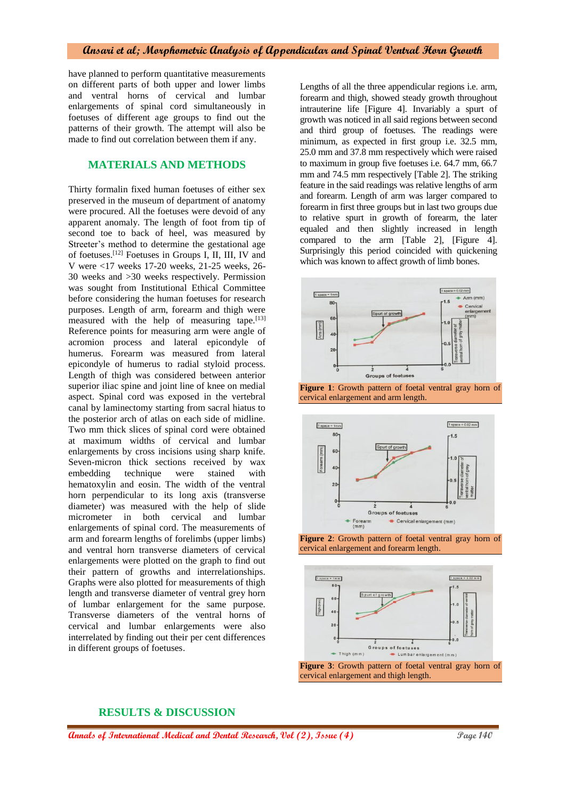#### **Ansari et al; Morphometric Analysis of Appendicular and Spinal Ventral Horn Growth**

have planned to perform quantitative measurements on different parts of both upper and lower limbs and ventral horns of cervical and lumbar enlargements of spinal cord simultaneously in foetuses of different age groups to find out the patterns of their growth. The attempt will also be made to find out correlation between them if any.

#### **MATERIALS AND METHODS**

Thirty formalin fixed human foetuses of either sex preserved in the museum of department of anatomy were procured. All the foetuses were devoid of any apparent anomaly. The length of foot from tip of second toe to back of heel, was measured by Streeter's method to determine the gestational age of foetuses.[12] Foetuses in Groups I, II, III, IV and V were <17 weeks 17-20 weeks, 21-25 weeks, 26- 30 weeks and >30 weeks respectively. Permission was sought from Institutional Ethical Committee before considering the human foetuses for research purposes. Length of arm, forearm and thigh were measured with the help of measuring tape.<sup>[13]</sup> Reference points for measuring arm were angle of acromion process and lateral epicondyle of humerus. Forearm was measured from lateral epicondyle of humerus to radial styloid process. Length of thigh was considered between anterior superior iliac spine and joint line of knee on medial aspect. Spinal cord was exposed in the vertebral canal by laminectomy starting from sacral hiatus to the posterior arch of atlas on each side of midline. Two mm thick slices of spinal cord were obtained at maximum widths of cervical and lumbar enlargements by cross incisions using sharp knife. Seven-micron thick sections received by wax embedding technique were stained with hematoxylin and eosin. The width of the ventral horn perpendicular to its long axis (transverse diameter) was measured with the help of slide micrometer in both cervical and lumbar enlargements of spinal cord. The measurements of arm and forearm lengths of forelimbs (upper limbs) and ventral horn transverse diameters of cervical enlargements were plotted on the graph to find out their pattern of growths and interrelationships. Graphs were also plotted for measurements of thigh length and transverse diameter of ventral grey horn of lumbar enlargement for the same purpose. Transverse diameters of the ventral horns of cervical and lumbar enlargements were also interrelated by finding out their per cent differences in different groups of foetuses.

Lengths of all the three appendicular regions i.e. arm, forearm and thigh, showed steady growth throughout intrauterine life [Figure 4]. Invariably a spurt of growth was noticed in all said regions between second and third group of foetuses. The readings were minimum, as expected in first group i.e. 32.5 mm, 25.0 mm and 37.8 mm respectively which were raised to maximum in group five foetuses i.e. 64.7 mm, 66.7 mm and 74.5 mm respectively [Table 2]. The striking feature in the said readings was relative lengths of arm and forearm. Length of arm was larger compared to forearm in first three groups but in last two groups due to relative spurt in growth of forearm, the later equaled and then slightly increased in length compared to the arm [Table 2], [Figure 4]. Surprisingly this period coincided with quickening which was known to affect growth of limb bones.













#### **RESULTS & DISCUSSION**

**Annals of International Medical and Dental Research, Vol (2), Issue (4)** Page 140